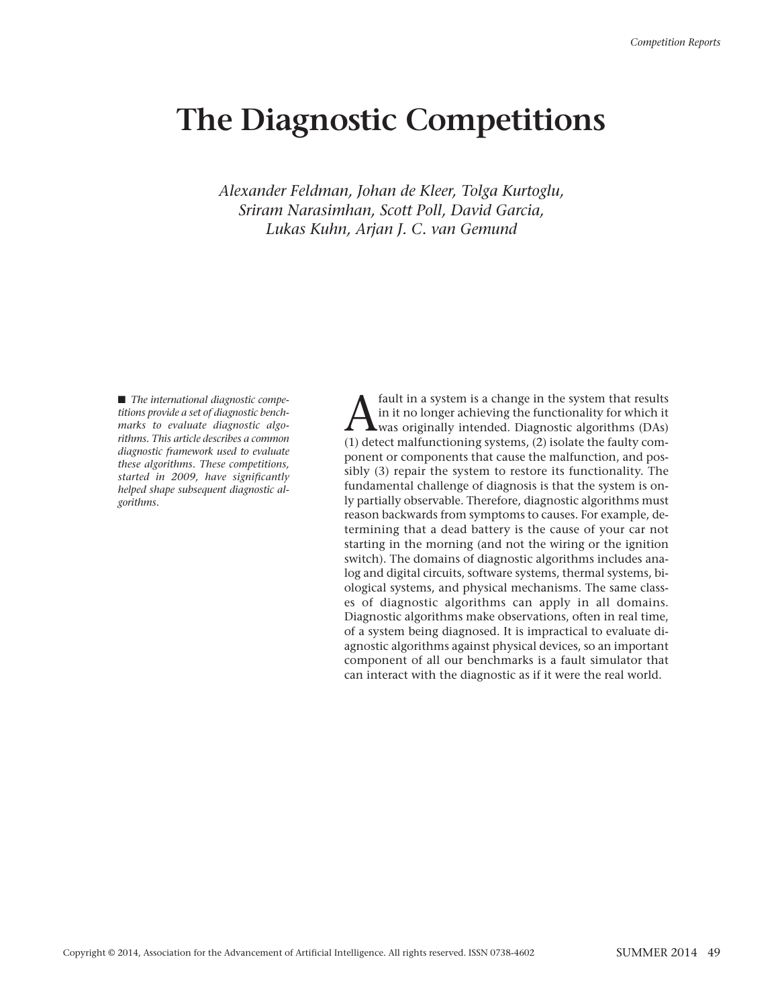# **The Diagnostic Competitions**

*Alexander Feldman, Johan de Kleer, Tolga Kurtoglu, Sriram Narasimhan, Scott Poll, David Garcia, Lukas Kuhn, Arjan J. C. van Gemund*

■ *The international diagnostic competitions provide a set of diagnostic benchmarks to evaluate diagnostic algorithms. This article describes a common diagnostic framework used to evaluate these algorithms. These competitions, started in 2009, have significantly helped shape subsequent diagnostic algorithms.*

 $\sum_{\text{final}} \text{ fault in a system is a change in the system that results} \label{eq:multi} \text{in it no longer achieving the functionality for which it was originally intended. Diagnostic algorithms (DAs) (1) detect malfunctioning systems (2) isolate the faulty com$ in it no longer achieving the functionality for which it  $\blacktriangle$ was originally intended. Diagnostic algorithms (DAs) (1) detect malfunctioning systems, (2) isolate the faulty component or components that cause the malfunction, and possibly (3) repair the system to restore its functionality. The fundamental challenge of diagnosis is that the system is only partially observable. Therefore, diagnostic algorithms must reason backwards from symptoms to causes. For example, determining that a dead battery is the cause of your car not starting in the morning (and not the wiring or the ignition switch). The domains of diagnostic algorithms includes analog and digital circuits, software systems, thermal systems, biological systems, and physical mechanisms. The same classes of diagnostic algorithms can apply in all domains. Diagnostic algorithms make observations, often in real time, of a system being diagnosed. It is impractical to evaluate diagnostic algorithms against physical devices, so an important component of all our benchmarks is a fault simulator that can interact with the diagnostic as if it were the real world.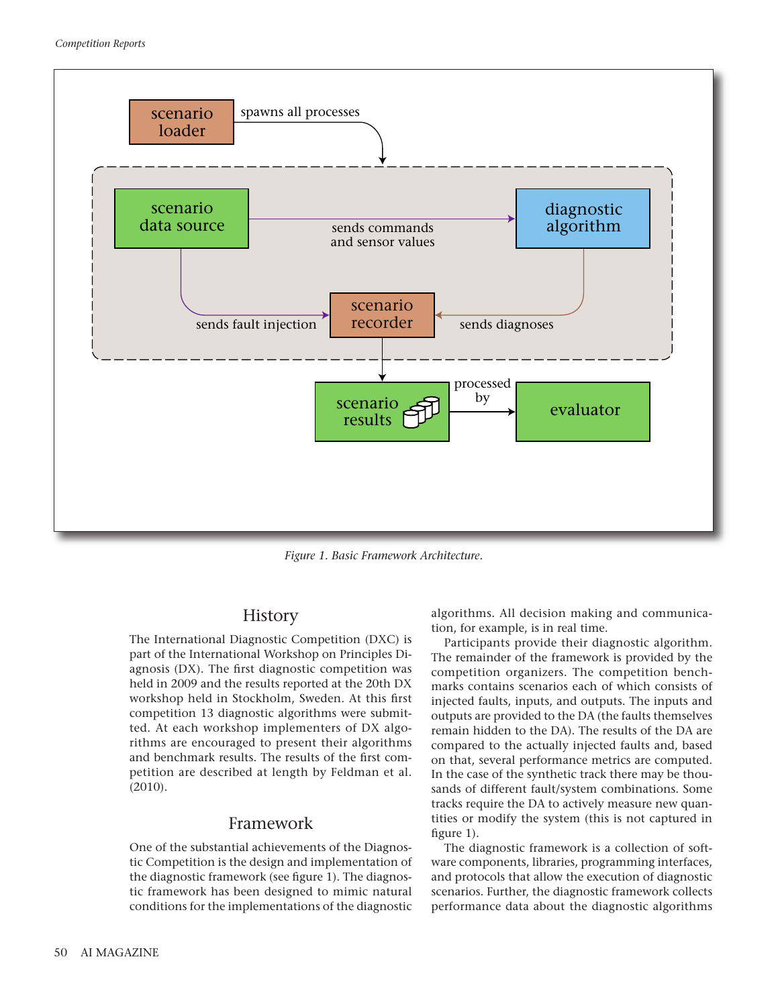

*Figure 1. Basic Framework Architecture.*

#### History

The International Diagnostic Competition (DXC) is part of the International Workshop on Principles Diagnosis (DX). The first diagnostic competition was held in 2009 and the results reported at the 20th DX workshop held in Stockholm, Sweden. At this first competition 13 diagnostic algorithms were submitted. At each workshop implementers of DX algorithms are encouraged to present their algorithms and benchmark results. The results of the first competition are described at length by Feldman et al. (2010).

## Framework

One of the substantial achievements of the Diagnostic Competition is the design and implementation of the diagnostic framework (see figure 1). The diagnostic framework has been designed to mimic natural conditions for the implementations of the diagnostic algorithms. All decision making and communication, for example, is in real time.

Participants provide their diagnostic algorithm. The remainder of the framework is provided by the competition organizers. The competition benchmarks contains scenarios each of which consists of injected faults, inputs, and outputs. The inputs and outputs are provided to the DA (the faults themselves remain hidden to the DA). The results of the DA are compared to the actually injected faults and, based on that, several performance metrics are computed. In the case of the synthetic track there may be thousands of different fault/system combinations. Some tracks require the DA to actively measure new quantities or modify the system (this is not captured in figure 1).

The diagnostic framework is a collection of software components, libraries, programming interfaces, and protocols that allow the execution of diagnostic scenarios. Further, the diagnostic framework collects performance data about the diagnostic algorithms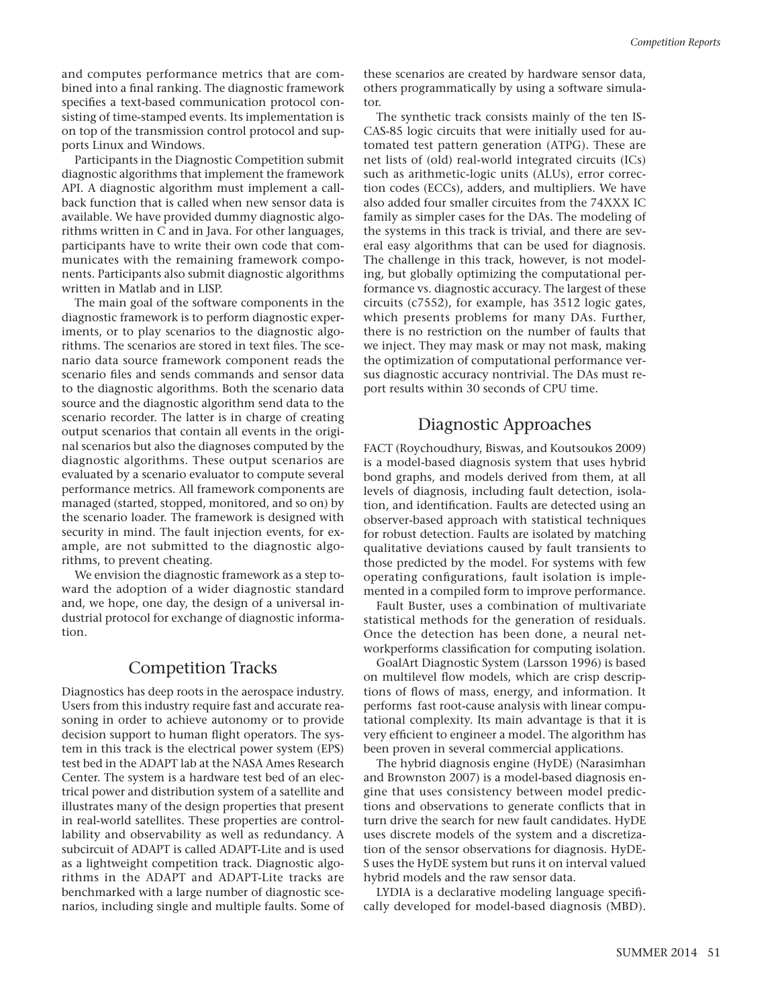and computes performance metrics that are combined into a final ranking. The diagnostic framework specifies a text-based communication protocol consisting of time-stamped events. Its implementation is on top of the transmission control protocol and supports Linux and Windows.

Participants in the Diagnostic Competition submit diagnostic algorithms that implement the framework API. A diagnostic algorithm must implement a callback function that is called when new sensor data is available. We have provided dummy diagnostic algorithms written in C and in Java. For other languages, participants have to write their own code that communicates with the remaining framework components. Participants also submit diagnostic algorithms written in Matlab and in LISP.

The main goal of the software components in the diagnostic framework is to perform diagnostic experiments, or to play scenarios to the diagnostic algorithms. The scenarios are stored in text files. The scenario data source framework component reads the scenario files and sends commands and sensor data to the diagnostic algorithms. Both the scenario data source and the diagnostic algorithm send data to the scenario recorder. The latter is in charge of creating output scenarios that contain all events in the original scenarios but also the diagnoses computed by the diagnostic algorithms. These output scenarios are evaluated by a scenario evaluator to compute several performance metrics. All framework components are managed (started, stopped, monitored, and so on) by the scenario loader. The framework is designed with security in mind. The fault injection events, for example, are not submitted to the diagnostic algorithms, to prevent cheating.

We envision the diagnostic framework as a step toward the adoption of a wider diagnostic standard and, we hope, one day, the design of a universal industrial protocol for exchange of diagnostic information.

#### Competition Tracks

Diagnostics has deep roots in the aerospace industry. Users from this industry require fast and accurate reasoning in order to achieve autonomy or to provide decision support to human flight operators. The system in this track is the electrical power system (EPS) test bed in the ADAPT lab at the NASA Ames Research Center. The system is a hardware test bed of an electrical power and distribution system of a satellite and illustrates many of the design properties that present in real-world satellites. These properties are controllability and observability as well as redundancy. A subcircuit of ADAPT is called ADAPT-Lite and is used as a lightweight competition track. Diagnostic algorithms in the ADAPT and ADAPT-Lite tracks are benchmarked with a large number of diagnostic scenarios, including single and multiple faults. Some of

these scenarios are created by hardware sensor data, others programmatically by using a software simulator.

The synthetic track consists mainly of the ten IS-CAS-85 logic circuits that were initially used for automated test pattern generation (ATPG). These are net lists of (old) real-world integrated circuits (ICs) such as arithmetic-logic units (ALUs), error correction codes (ECCs), adders, and multipliers. We have also added four smaller circuites from the 74XXX IC family as simpler cases for the DAs. The modeling of the systems in this track is trivial, and there are several easy algorithms that can be used for diagnosis. The challenge in this track, however, is not modeling, but globally optimizing the computational performance vs. diagnostic accuracy. The largest of these circuits (c7552), for example, has 3512 logic gates, which presents problems for many DAs. Further, there is no restriction on the number of faults that we inject. They may mask or may not mask, making the optimization of computational performance versus diagnostic accuracy nontrivial. The DAs must report results within 30 seconds of CPU time.

### Diagnostic Approaches

FACT (Roychoudhury, Biswas, and Koutsoukos 2009) is a model-based diagnosis system that uses hybrid bond graphs, and models derived from them, at all levels of diagnosis, including fault detection, isolation, and identification. Faults are detected using an observer-based approach with statistical techniques for robust detection. Faults are isolated by matching qualitative deviations caused by fault transients to those predicted by the model. For systems with few operating configurations, fault isolation is implemented in a compiled form to improve performance.

Fault Buster, uses a combination of multivariate statistical methods for the generation of residuals. Once the detection has been done, a neural networkperforms classification for computing isolation.

GoalArt Diagnostic System (Larsson 1996) is based on multilevel flow models, which are crisp descriptions of flows of mass, energy, and information. It performs fast root-cause analysis with linear computational complexity. Its main advantage is that it is very efficient to engineer a model. The algorithm has been proven in several commercial applications.

The hybrid diagnosis engine (HyDE) (Narasimhan and Brownston 2007) is a model-based diagnosis engine that uses consistency between model predictions and observations to generate conflicts that in turn drive the search for new fault candidates. HyDE uses discrete models of the system and a discretization of the sensor observations for diagnosis. HyDE-S uses the HyDE system but runs it on interval valued hybrid models and the raw sensor data.

LYDIA is a declarative modeling language specifically developed for model-based diagnosis (MBD).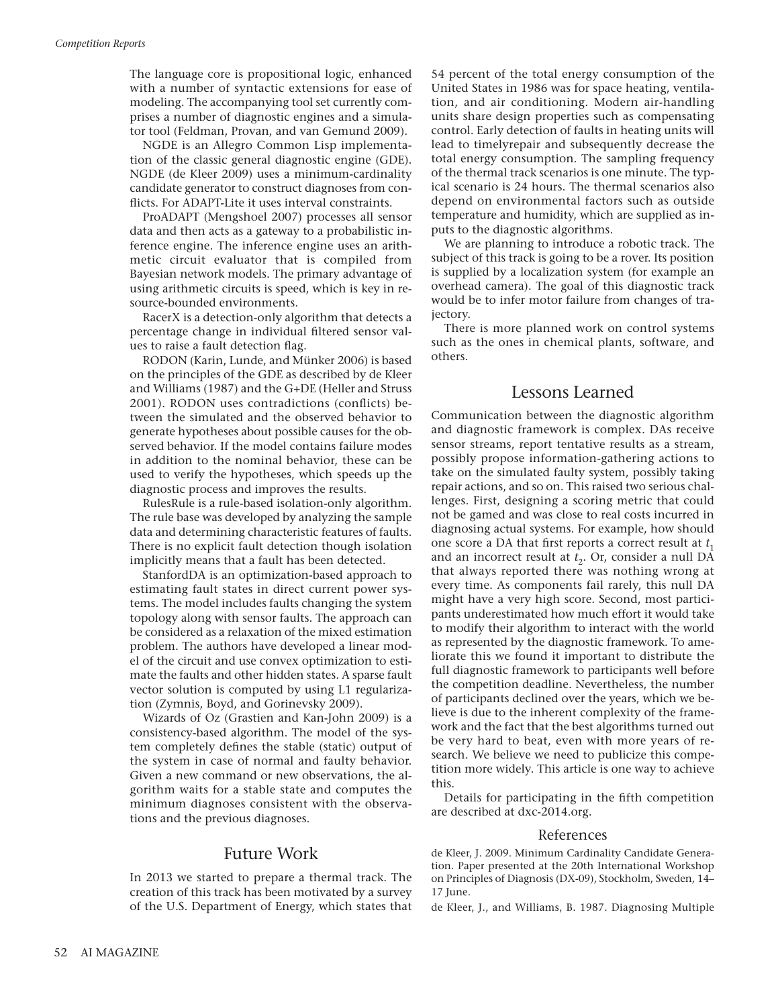The language core is propositional logic, enhanced with a number of syntactic extensions for ease of modeling. The accompanying tool set currently comprises a number of diagnostic engines and a simulator tool (Feldman, Provan, and van Gemund 2009).

NGDE is an Allegro Common Lisp implementation of the classic general diagnostic engine (GDE). NGDE (de Kleer 2009) uses a minimum-cardinality candidate generator to construct diagnoses from conflicts. For ADAPT-Lite it uses interval constraints.

ProADAPT (Mengshoel 2007) processes all sensor data and then acts as a gateway to a probabilistic inference engine. The inference engine uses an arithmetic circuit evaluator that is compiled from Bayesian network models. The primary advantage of using arithmetic circuits is speed, which is key in resource-bounded environments.

RacerX is a detection-only algorithm that detects a percentage change in individual filtered sensor values to raise a fault detection flag.

RODON (Karin, Lunde, and Münker 2006) is based on the principles of the GDE as described by de Kleer and Williams (1987) and the G+DE (Heller and Struss 2001). RODON uses contradictions (conflicts) between the simulated and the observed behavior to generate hypotheses about possible causes for the observed behavior. If the model contains failure modes in addition to the nominal behavior, these can be used to verify the hypotheses, which speeds up the diagnostic process and improves the results.

RulesRule is a rule-based isolation-only algorithm. The rule base was developed by analyzing the sample data and determining characteristic features of faults. There is no explicit fault detection though isolation implicitly means that a fault has been detected.

StanfordDA is an optimization-based approach to estimating fault states in direct current power systems. The model includes faults changing the system topology along with sensor faults. The approach can be considered as a relaxation of the mixed estimation problem. The authors have developed a linear model of the circuit and use convex optimization to estimate the faults and other hidden states. A sparse fault vector solution is computed by using L1 regularization (Zymnis, Boyd, and Gorinevsky 2009).

Wizards of Oz (Grastien and Kan-John 2009) is a consistency-based algorithm. The model of the system completely defines the stable (static) output of the system in case of normal and faulty behavior. Given a new command or new observations, the algorithm waits for a stable state and computes the minimum diagnoses consistent with the observations and the previous diagnoses.

## Future Work

In 2013 we started to prepare a thermal track. The creation of this track has been motivated by a survey of the U.S. Department of Energy, which states that 54 percent of the total energy consumption of the United States in 1986 was for space heating, ventilation, and air conditioning. Modern air-handling units share design properties such as compensating control. Early detection of faults in heating units will lead to timelyrepair and subsequently decrease the total energy consumption. The sampling frequency of the thermal track scenarios is one minute. The typical scenario is 24 hours. The thermal scenarios also depend on environmental factors such as outside temperature and humidity, which are supplied as inputs to the diagnostic algorithms.

We are planning to introduce a robotic track. The subject of this track is going to be a rover. Its position is supplied by a localization system (for example an overhead camera). The goal of this diagnostic track would be to infer motor failure from changes of trajectory.

There is more planned work on control systems such as the ones in chemical plants, software, and others.

#### Lessons Learned

Communication between the diagnostic algorithm and diagnostic framework is complex. DAs receive sensor streams, report tentative results as a stream, possibly propose information-gathering actions to take on the simulated faulty system, possibly taking repair actions, and so on. This raised two serious challenges. First, designing a scoring metric that could not be gamed and was close to real costs incurred in diagnosing actual systems. For example, how should one score a DA that first reports a correct result at  $t<sub>1</sub>$ and an incorrect result at  $t_2$ . Or, consider a null DA that always reported there was nothing wrong at every time. As components fail rarely, this null DA might have a very high score. Second, most participants underestimated how much effort it would take to modify their algorithm to interact with the world as represented by the diagnostic framework. To ameliorate this we found it important to distribute the full diagnostic framework to participants well before the competition deadline. Nevertheless, the number of participants declined over the years, which we believe is due to the inherent complexity of the framework and the fact that the best algorithms turned out be very hard to beat, even with more years of research. We believe we need to publicize this competition more widely. This article is one way to achieve this.

Details for participating in the fifth competition are described at dxc-2014.org.

#### References

de Kleer, J. 2009. Minimum Cardinality Candidate Generation. Paper presented at the 20th International Workshop on Principles of Diagnosis (DX-09), Stockholm, Sweden, 14– 17 June.

de Kleer, J., and Williams, B. 1987. Diagnosing Multiple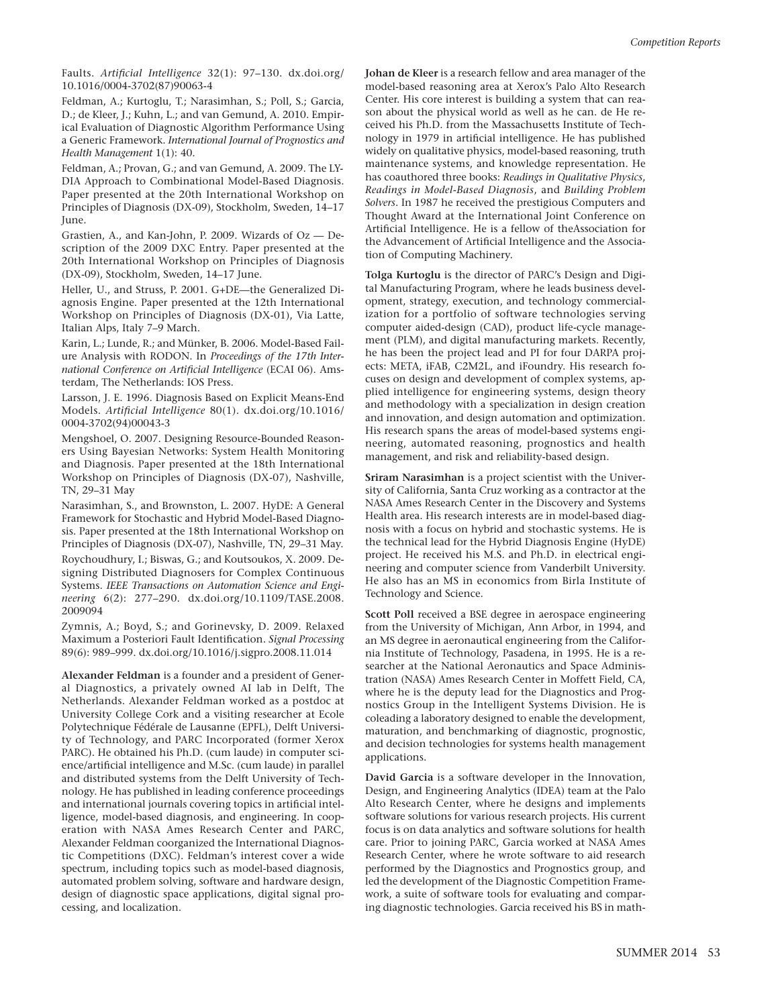Faults. *Artificial Intelligence* 32(1): 97–130. dx.doi.org/ 10.1016/0004-3702(87)90063-4

Feldman, A.; Kurtoglu, T.; Narasimhan, S.; Poll, S.; Garcia, D.; de Kleer, J.; Kuhn, L.; and van Gemund, A. 2010. Empirical Evaluation of Diagnostic Algorithm Performance Using a Generic Framework. *International Journal of Prognostics and Health Management* 1(1): 40.

Feldman, A.; Provan, G.; and van Gemund, A. 2009. The LY-DIA Approach to Combinational Model-Based Diagnosis. Paper presented at the 20th International Workshop on Principles of Diagnosis (DX-09), Stockholm, Sweden, 14–17 June.

Grastien, A., and Kan-John, P. 2009. Wizards of Oz — Description of the 2009 DXC Entry. Paper presented at the 20th International Workshop on Principles of Diagnosis (DX-09), Stockholm, Sweden, 14–17 June.

Heller, U., and Struss, P. 2001. G+DE—the Generalized Diagnosis Engine. Paper presented at the 12th International Workshop on Principles of Diagnosis (DX-01), Via Latte, Italian Alps, Italy 7–9 March.

Karin, L.; Lunde, R.; and Münker, B. 2006. Model-Based Failure Analysis with RODON. In *Proceedings of the 17th International Conference on Artificial Intelligence* (ECAI 06). Amsterdam, The Netherlands: IOS Press.

Larsson, J. E. 1996. Diagnosis Based on Explicit Means-End Models. *Artificial Intelligence* 80(1). dx.doi.org/10.1016/ 0004-3702(94)00043-3

Mengshoel, O. 2007. Designing Resource-Bounded Reasoners Using Bayesian Networks: System Health Monitoring and Diagnosis. Paper presented at the 18th International Workshop on Principles of Diagnosis (DX-07), Nashville, TN, 29–31 May

Narasimhan, S., and Brownston, L. 2007. HyDE: A General Framework for Stochastic and Hybrid Model-Based Diagnosis. Paper presented at the 18th International Workshop on Principles of Diagnosis (DX-07), Nashville, TN, 29–31 May. Roychoudhury, I.; Biswas, G.; and Koutsoukos, X. 2009. Designing Distributed Diagnosers for Complex Continuous Systems. *IEEE Transactions on Automation Science and Engineering* 6(2): 277–290. dx.doi.org/10.1109/TASE.2008. 2009094

Zymnis, A.; Boyd, S.; and Gorinevsky, D. 2009. Relaxed Maximum a Posteriori Fault Identification. *Signal Processing* 89(6): 989–999. dx.doi.org/10.1016/j.sigpro.2008.11.014

**Alexander Feldman** is a founder and a president of General Diagnostics, a privately owned AI lab in Delft, The Netherlands. Alexander Feldman worked as a postdoc at University College Cork and a visiting researcher at Ecole Polytechnique Fédérale de Lausanne (EPFL), Delft University of Technology, and PARC Incorporated (former Xerox PARC). He obtained his Ph.D. (cum laude) in computer science/artificial intelligence and M.Sc. (cum laude) in parallel and distributed systems from the Delft University of Technology. He has published in leading conference proceedings and international journals covering topics in artificial intelligence, model-based diagnosis, and engineering. In cooperation with NASA Ames Research Center and PARC, Alexander Feldman coorganized the International Diagnostic Competitions (DXC). Feldman's interest cover a wide spectrum, including topics such as model-based diagnosis, automated problem solving, software and hardware design, design of diagnostic space applications, digital signal processing, and localization.

**Johan de Kleer** is a research fellow and area manager of the model-based reasoning area at Xerox's Palo Alto Research Center. His core interest is building a system that can reason about the physical world as well as he can. de He received his Ph.D. from the Massachusetts Institute of Technology in 1979 in artificial intelligence. He has published widely on qualitative physics, model-based reasoning, truth maintenance systems, and knowledge representation. He has coauthored three books: *Readings in Qualitative Physics*, *Readings in Model-Based Diagnosis*, and *Building Problem Solvers*. In 1987 he received the prestigious Computers and Thought Award at the International Joint Conference on Artificial Intelligence. He is a fellow of theAssociation for the Advancement of Artificial Intelligence and the Association of Computing Machinery.

**Tolga Kurtoglu** is the director of PARC's Design and Digital Manufacturing Program, where he leads business development, strategy, execution, and technology commercialization for a portfolio of software technologies serving computer aided-design (CAD), product life-cycle management (PLM), and digital manufacturing markets. Recently, he has been the project lead and PI for four DARPA projects: META, iFAB, C2M2L, and iFoundry. His research focuses on design and development of complex systems, applied intelligence for engineering systems, design theory and methodology with a specialization in design creation and innovation, and design automation and optimization. His research spans the areas of model-based systems engineering, automated reasoning, prognostics and health management, and risk and reliability-based design.

**Sriram Narasimhan** is a project scientist with the University of California, Santa Cruz working as a contractor at the NASA Ames Research Center in the Discovery and Systems Health area. His research interests are in model-based diagnosis with a focus on hybrid and stochastic systems. He is the technical lead for the Hybrid Diagnosis Engine (HyDE) project. He received his M.S. and Ph.D. in electrical engineering and computer science from Vanderbilt University. He also has an MS in economics from Birla Institute of Technology and Science.

**Scott Poll** received a BSE degree in aerospace engineering from the University of Michigan, Ann Arbor, in 1994, and an MS degree in aeronautical engineering from the California Institute of Technology, Pasadena, in 1995. He is a researcher at the National Aeronautics and Space Administration (NASA) Ames Research Center in Moffett Field, CA, where he is the deputy lead for the Diagnostics and Prognostics Group in the Intelligent Systems Division. He is coleading a laboratory designed to enable the development, maturation, and benchmarking of diagnostic, prognostic, and decision technologies for systems health management applications.

**David Garcia** is a software developer in the Innovation, Design, and Engineering Analytics (IDEA) team at the Palo Alto Research Center, where he designs and implements software solutions for various research projects. His current focus is on data analytics and software solutions for health care. Prior to joining PARC, Garcia worked at NASA Ames Research Center, where he wrote software to aid research performed by the Diagnostics and Prognostics group, and led the development of the Diagnostic Competition Framework, a suite of software tools for evaluating and comparing diagnostic technologies. Garcia received his BS in math-